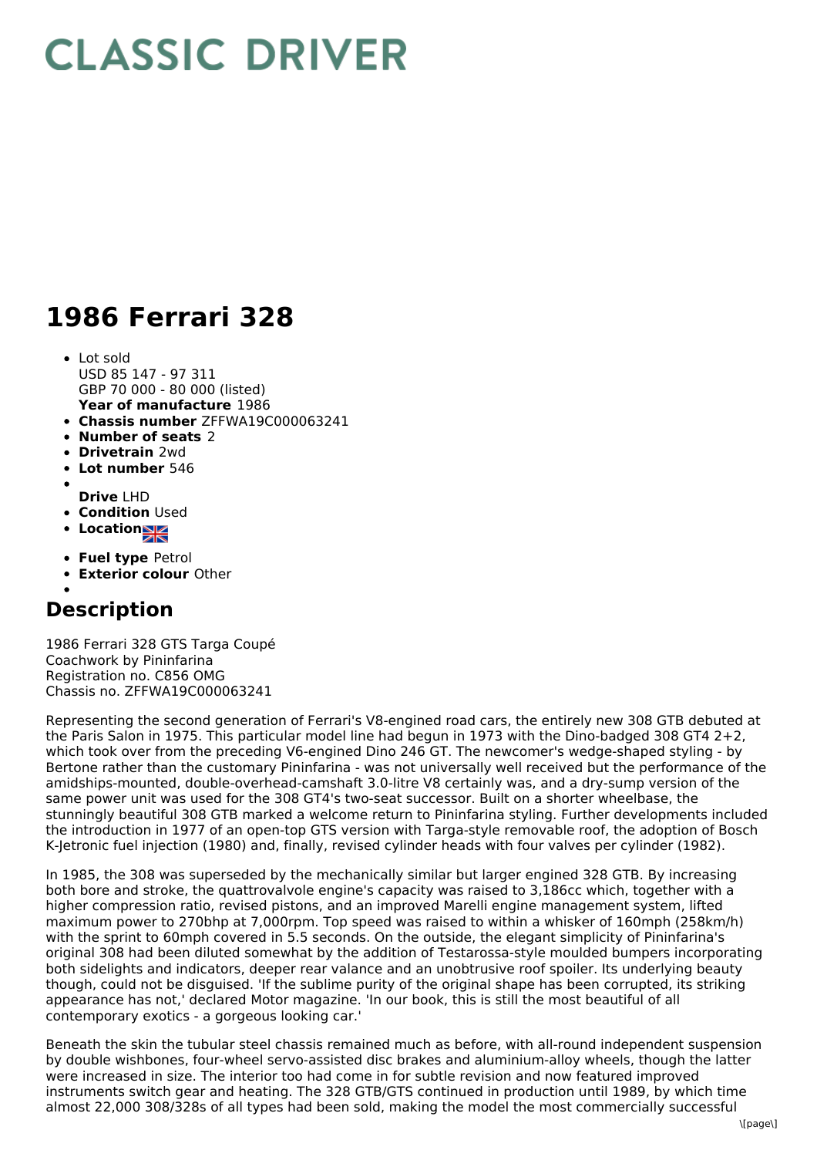## **CLASSIC DRIVER**

## **1986 Ferrari 328**

- **Year of manufacture** 1986 • Lot sold USD 85 147 - 97 311 GBP 70 000 - 80 000 (listed)
- **Chassis number** ZFFWA19C000063241
- **Number of seats** 2
- **Drivetrain** 2wd
- **Lot number** 546
- **Drive** LHD
- **Condition Used**
- Location
- 
- **Fuel type** Petrol
- **Exterior colour** Other

## **Description**

1986 Ferrari 328 GTS Targa Coupé Coachwork by Pininfarina Registration no. C856 OMG Chassis no. ZFFWA19C000063241

Representing the second generation of Ferrari's V8-engined road cars, the entirely new 308 GTB debuted at the Paris Salon in 1975. This particular model line had begun in 1973 with the Dino-badged 308 GT4 2+2, which took over from the preceding V6-engined Dino 246 GT. The newcomer's wedge-shaped styling - by Bertone rather than the customary Pininfarina - was not universally well received but the performance of the amidships-mounted, double-overhead-camshaft 3.0-litre V8 certainly was, and a dry-sump version of the same power unit was used for the 308 GT4's two-seat successor. Built on a shorter wheelbase, the stunningly beautiful 308 GTB marked a welcome return to Pininfarina styling. Further developments included the introduction in 1977 of an open-top GTS version with Targa-style removable roof, the adoption of Bosch K-Jetronic fuel injection (1980) and, finally, revised cylinder heads with four valves per cylinder (1982).

In 1985, the 308 was superseded by the mechanically similar but larger engined 328 GTB. By increasing both bore and stroke, the quattrovalvole engine's capacity was raised to 3,186cc which, together with a higher compression ratio, revised pistons, and an improved Marelli engine management system, lifted maximum power to 270bhp at 7,000rpm. Top speed was raised to within a whisker of 160mph (258km/h) with the sprint to 60mph covered in 5.5 seconds. On the outside, the elegant simplicity of Pininfarina's original 308 had been diluted somewhat by the addition of Testarossa-style moulded bumpers incorporating both sidelights and indicators, deeper rear valance and an unobtrusive roof spoiler. Its underlying beauty though, could not be disguised. 'If the sublime purity of the original shape has been corrupted, its striking appearance has not,' declared Motor magazine. 'In our book, this is still the most beautiful of all contemporary exotics - a gorgeous looking car.'

Beneath the skin the tubular steel chassis remained much as before, with all-round independent suspension by double wishbones, four-wheel servo-assisted disc brakes and aluminium-alloy wheels, though the latter were increased in size. The interior too had come in for subtle revision and now featured improved instruments switch gear and heating. The 328 GTB/GTS continued in production until 1989, by which time almost 22,000 308/328s of all types had been sold, making the model the most commercially successful